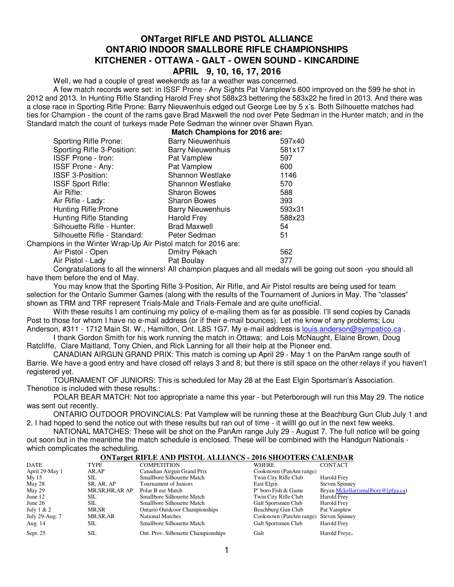## **ONTarget RIFLE AND PISTOL ALLIANCE ONTARIO INDOOR SMALLBORE RIFLE CHAMPIONSHIPS KITCHENER - OTTAWA - GALT - OWEN SOUND - KINCARDINE APRIL 9, 10, 16, 17, 2016**

Well, we had a couple of great weekends as far a weather was concerned.

A few match records were set: in ISSF Prone - Any Sights Pat Vamplew's 600 improved on the 599 he shot in 2012 and 2013. In Hunting Rifle Standing Harold Frey shot 588x23 bettering the 583x22 he fired in 2013. And there was a close race in Sporting Rifle Prone: Barry Nieuwenhuis edged out George Lee by 5 x's. Both Silhouette matches had ties for Champion - the count of the rams gave Brad Maxwell the nod over Pete Sedman in the Hunter match; and in the Standard match the count of turkeys made Pete Sedman the winner over Shawn Ryan.

## **Match Champions for 2016 are:** Sporting Rifle Prone: Barry Nieuwenhuis 597x40

| <b>Barry Nieuwenhuis</b> | 581x17                                                         |
|--------------------------|----------------------------------------------------------------|
| Pat Vamplew              | 597                                                            |
| Pat Vamplew              | 600                                                            |
| Shannon Westlake         | 1146                                                           |
| Shannon Westlake         | 570                                                            |
| <b>Sharon Bowes</b>      | 588                                                            |
| <b>Sharon Bowes</b>      | 393                                                            |
| <b>Barry Nieuwenhuis</b> | 593x31                                                         |
| <b>Harold Frey</b>       | 588x23                                                         |
| <b>Brad Maxwell</b>      | 54                                                             |
| Peter Sedman             | 51                                                             |
|                          |                                                                |
| Dmitry Pekach            | 562                                                            |
| Pat Boulay               | 377                                                            |
|                          | Champions in the Winter Wrap-Up Air Pistol match for 2016 are: |

Congratulations to all the winners! All champion plaques and all medals will be going out soon -you should all have them before the end of May.

You may know that the Sporting Rifle 3-Position, Air Rifle, and Air Pistol results are being used for team selection for the Ontario Summer Games (along with the results of the Tournament of Juniors in May. The "classes" shown as TRM and TRF represent Trials-Male and Trials-Female and are quite unofficial.

With these results I am continuing my policy of e-mailing them as far as possible. I'll send copies by Canada Post to those for whom I have no e-mail address (or if their e-mail bounces). Let me know of any problems; Lou Anderson, #311 - 1712 Main St. W., Hamilton, Ont. L8S 1G7. My e-mail address is louis.anderson@sympatico.ca.

I thank Gordon Smith for his work running the match in Ottawa; and Lois McNaught, Elaine Brown, Doug Ratcliffe, Clare Maitland, Tony Chien, and Rick Lanning for all their help at the Pioneer end.

CANADIAN AIRGUN GRAND PRIX: This match is coming up April 29 - May 1 on the PanAm range south of Barrie. We have a good entry and have closed off relays 3 and 8; but there is still space on the other relays if you haven't registered yet.

TOURNAMENT OF JUNIORS: This is scheduled for May 28 at the East Elgin Sportsman's Association. Thenotice is included with these results.:

POLAR BEAR MATCH: Not too appropriate a name this year - but Peterborough will run this May 29. The notice was sent out recently.

ONTARIO OUTDOOR PROVINCIALS: Pat Vamplew will be running these at the Beachburg Gun Club July 1 and 2. I had hoped to send the notice out with these results but ran out of time - it willll go out in the next few weeks.

NATIONAL MATCHES: These will be shot on the PanAm range July 29 - August 7. The full notice will be going out soon but in the meantime the match schedule is enclosed. These will be combined with the Handgun Nationals which complicates the scheduling.

#### **ONTarget RIFLE AND PISTOL ALLIANCS - 2016 SHOOTERS CALENDAR**

| <b>DATE</b>    | TYPE              | <b>COMPETITION</b>                    | WHERE                   | <b>CONTACT</b>                     |
|----------------|-------------------|---------------------------------------|-------------------------|------------------------------------|
| April 29-May 1 | AR,AP             | Canadian Airgun Grand Prix            | Cookstown (PanAm range) |                                    |
| Mv15           | SIL.              | Smallbore Silhouette Match            | Twin City Rifle Club    | Harold Frey                        |
| May 28         | SR, AR, AP        | Tournament of Juniors                 | East Elgin              | <b>Steven Spinney</b>              |
| May 29         | MR, SR, HR, AR AP | Polar B ear Match                     | P' boro Fish & Game     | Bryan Mckellar(smallbore@[pfga.ca) |
| June $12$      | SIL.              | Smallbore Silhouette Match            | Twin City Rifle Club    | Harold Frey                        |
| June $26$      | <b>SIL</b>        | Smallbore Silhouette Match            | Galt Sportsmen Club     | Harold Frey                        |
| July $1 & 2$   | MR,SR             | <b>Ontario Outdcoor Championships</b> | Beachburg Gun Club      | Pat Vamplew                        |
| July 29-Aug. 7 | MR, SR, AR        | <b>National Matches</b>               | Cookstown (PanAm range) | <b>Steven Spinney</b>              |
| Aug. 14        | <b>SIL</b>        | Smallbore Silhouette Match            | Galt Sportsmen Club     | Harold Frey                        |
| Sept. 25       | <b>SIL</b>        | Ont. Prov. Silhouette Championships   | Galt                    | Harold Freve.                      |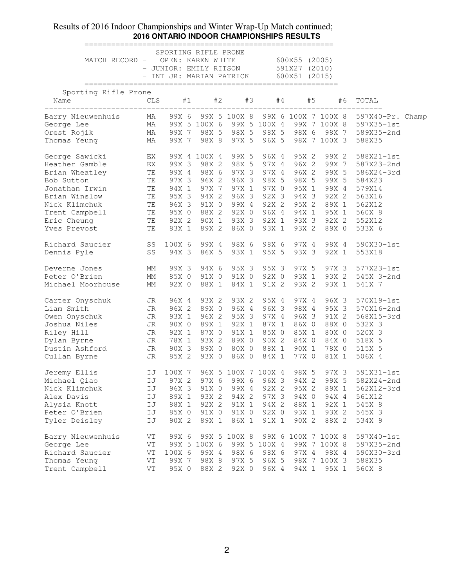### Results of 2016 Indoor Championships and Winter Wrap-Up Match continued; **2016 ONTARIO INDOOR CHAMPIONSHIPS RESULTS**

| MATCH RECORD - OPEN: KAREN WHITE 600X55 (2005)                                                                                                                                                                                                       |          | SPORTING RIFLE PRONE<br>$-$ JUNIOR: EMILY RITSON 591X27 (2010)<br>- INT JR: MARIAN PATRICK 600X51 (2015) |                      |                    |                                        |       |                |                               |  |
|------------------------------------------------------------------------------------------------------------------------------------------------------------------------------------------------------------------------------------------------------|----------|----------------------------------------------------------------------------------------------------------|----------------------|--------------------|----------------------------------------|-------|----------------|-------------------------------|--|
| Sporting Rifle Prone                                                                                                                                                                                                                                 |          |                                                                                                          |                      |                    |                                        |       |                |                               |  |
| Name<br>__________________________________                                                                                                                                                                                                           |          | CLS #1 #2 #3 #4 #5 #6                                                                                    |                      |                    |                                        |       |                | TOTAL<br>____________________ |  |
| Barry Nieuwenhuis MA 99X 6 99X 5 100X 8 99X 6 100X 7 100X 8 597X40-Pr. Champ<br>George Lee MA 99X 5 100X 6 99X 5 100X 4 99X 7 100X 8 597X35-1st<br>Orest Rojik MA 99X 7 98X 5 98X 5 98X 5 98X 6 98X 7 589X35-2nd                                     |          |                                                                                                          |                      |                    |                                        |       |                |                               |  |
|                                                                                                                                                                                                                                                      |          |                                                                                                          |                      |                    |                                        |       |                |                               |  |
|                                                                                                                                                                                                                                                      |          |                                                                                                          |                      |                    |                                        |       |                |                               |  |
| Thomas Yeung                                                                                                                                                                                                                                         | MA       |                                                                                                          |                      |                    | 99X 7 98X 8 97X 5 96X 5 98X 7 100X 3   |       |                | 588X35                        |  |
|                                                                                                                                                                                                                                                      |          |                                                                                                          |                      | 99X 4 100X 4 99X 5 | 96X 4                                  | 95X 2 |                | 99X 2 588X21-1st              |  |
| George Sawicki KK<br>Heather Gamble KX                                                                                                                                                                                                               |          | 99X 3 98X 2                                                                                              |                      | 98X 5              | 97X 4                                  | 96X 2 | 99X 7          | 587X23-2nd                    |  |
| Brian Wheatley                                                                                                                                                                                                                                       | TE       |                                                                                                          | 99X 4 98X 6          | 97X 3              | 97X 4                                  | 96X 2 | 99X 5          | 586X24-3rd                    |  |
| Bob Sutton                                                                                                                                                                                                                                           | TE       |                                                                                                          | 97X 3 96X 2          | 96X 3              | 98X 5                                  | 98X 5 | 99X 5          | 584X23                        |  |
| Jonathan Irwin<br>Brian Winslow<br>TE 94X 1 97X 7 97X 1<br>Brian Winslow<br>TE 95X 3 94X 2 96X 3<br>Nick Klimchuk<br>TE 96X 3 91X 0 99X 4<br>TE 95X 0 88X 2 92X 0<br>Eric Cheung<br>TE 92X 2 90X 1 93X 3<br>TE 92X 2 90X 1 93X 3<br>TE 92X 2 90X 1 9 |          |                                                                                                          |                      |                    | 97X 0                                  | 95X 1 | 99X 4          | 579X14                        |  |
|                                                                                                                                                                                                                                                      |          |                                                                                                          |                      |                    | 96X 3 92X 3 94X 3                      |       | 92X 2          | 563X16                        |  |
|                                                                                                                                                                                                                                                      |          |                                                                                                          |                      |                    | 92X 2                                  | 95X 2 | 89X 1          | 562X12                        |  |
|                                                                                                                                                                                                                                                      |          |                                                                                                          |                      |                    | 96X 4                                  | 94X 1 | 95X 1          | 560X 8                        |  |
|                                                                                                                                                                                                                                                      |          |                                                                                                          |                      |                    | 92X 1                                  | 93X 3 | 92X 2          | 552X12                        |  |
| Yves Prevost                                                                                                                                                                                                                                         | TE       |                                                                                                          | 83X 1 89X 2          | 86X 0              | 93X 1                                  | 93X 2 | 89X 0          | 533X 6                        |  |
|                                                                                                                                                                                                                                                      |          |                                                                                                          |                      |                    |                                        |       |                |                               |  |
| Richard Saucier 55 100X 6 99X 4 98X 6 98X 6<br>Dennis Pyle 58 94X 3 86X 5 93X 1 95X 5                                                                                                                                                                |          |                                                                                                          |                      |                    |                                        | 97X 4 | 98X 4          | 590X30-1st                    |  |
|                                                                                                                                                                                                                                                      |          |                                                                                                          |                      |                    |                                        | 93X 3 | 92X 1          | 553X18                        |  |
| Deverne Jones                                                                                                                                                                                                                                        | MM       | 99X 3 94X 6                                                                                              |                      | 95X 3              | 95X 3                                  | 97X 5 |                | 97X 3 577X23-1st              |  |
| Peter O'Brien                                                                                                                                                                                                                                        | MM       |                                                                                                          |                      |                    | 85X 0 91X 0 91X 0 92X 0 93X 1          |       |                | 93X 2 545X 3-2nd              |  |
| Michael Moorhouse                                                                                                                                                                                                                                    | MM       | 92X 0                                                                                                    | 88X 1                | 84X 1              | 91X 2                                  | 93X 2 | 93X 1          | 541X 7                        |  |
| Carter Onyschuk                                                                                                                                                                                                                                      | JR       | 96X 4                                                                                                    | 93X 2                | 93X 2              | 95X 4                                  | 97X 4 | 96X 3          | 570X19-1st                    |  |
|                                                                                                                                                                                                                                                      | JR       | 96X 2                                                                                                    | 89X 0                | 96X 4              | 96X 3                                  | 98X 4 | 95X 3          | 570X16-2nd                    |  |
|                                                                                                                                                                                                                                                      | JR       |                                                                                                          |                      |                    | 93X 1 96X 2 95X 3 97X 4                | 96X 3 | 91X 2          | 568X15-3rd                    |  |
| Liam Smith<br>Owen Onyschuk<br>Joshua Niles                                                                                                                                                                                                          | JR       | 90X 0                                                                                                    | 89X 1                | 92X 1              | 87X 1                                  | 86X 0 | 88X 0          | 532X 3                        |  |
| Riley Hill JR JR                                                                                                                                                                                                                                     |          |                                                                                                          | 92X 1 87X 0          | 91X 1              | 85X 0                                  | 85X 1 | 80X 0          | 520X 3                        |  |
| Dylan Byrne                                                                                                                                                                                                                                          | JR       | 78X 1 93X 2                                                                                              |                      | 89X 0              | 90X 2                                  | 84X 0 | 84X 0          | 518X 5                        |  |
| Dustin Ashford                                                                                                                                                                                                                                       | JR       | 90X 3 89X 0                                                                                              |                      | 80X 0              | 88X 1                                  | 90X 1 | 78X 0          | 515X 5                        |  |
| Cullan Byrne                                                                                                                                                                                                                                         | JR       |                                                                                                          | 85X 2 93X 0          |                    | 86X 0 84X 1                            | 77X 0 | 81X 1          | 506X 4                        |  |
| Jeremy Ellis 100X 7                                                                                                                                                                                                                                  |          |                                                                                                          |                      |                    | 96X 5 100X 7 100X 4 98X 5 97X 3        |       |                | 591X31-1st                    |  |
| Michael Qiao                                                                                                                                                                                                                                         | IJ       | 97X 2                                                                                                    |                      |                    | 97X 6 99X 6 96X 3                      | 94X 2 | 99X 5          | 582X24-2nd                    |  |
| Nick Klimchuk                                                                                                                                                                                                                                        | IJ       | 96X 3                                                                                                    |                      |                    |                                        | 95X 2 |                |                               |  |
|                                                                                                                                                                                                                                                      |          |                                                                                                          |                      | 91X 0 99X 4        | 92X 2                                  |       | 89X 1          | 562X12-3rd                    |  |
| Alex Davis                                                                                                                                                                                                                                           | IJ       |                                                                                                          | 89X 1 93X 2          |                    | 94X 2 97X 3                            | 94X 0 | 94X 4          | 561X12                        |  |
| Alysia Knott                                                                                                                                                                                                                                         | IJ       | 88X 1                                                                                                    | 92X 2                | 91X 1              | 94X 2                                  | 88X 1 | 92X 1          | 545X 8                        |  |
| Peter O'Brien<br>Tyler Deisley                                                                                                                                                                                                                       | IJ<br>IJ | 90X 2                                                                                                    | 85X 0 91X 0<br>89X 1 | 91X 0<br>86X 1     | 92X 0<br>91X 1                         | 93X 1 | 93X 2<br>88X 2 | 545X 3                        |  |
|                                                                                                                                                                                                                                                      |          |                                                                                                          |                      |                    |                                        | 90X 2 |                | 534X 9                        |  |
| Barry Nieuwenhuis                                                                                                                                                                                                                                    | VT       |                                                                                                          |                      |                    | 99X 6 99X 5 100X 8 99X 6 100X 7 100X 8 |       |                | 597X40-1st                    |  |
| George Lee                                                                                                                                                                                                                                           | VT       |                                                                                                          | 99X 5 100X 6         |                    | 99X 5 100X 4                           |       | 99X 7 100X 8   | 597X35-2nd                    |  |
| Richard Saucier                                                                                                                                                                                                                                      | VT       | 100X 6                                                                                                   | 99X 4                | 98X 6              | 98X 6                                  | 97X 4 | 98X 4          | 590X30-3rd                    |  |
| Thomas Yeung                                                                                                                                                                                                                                         | VT       | 99X 7                                                                                                    | 98X 8                | 97X 5              | 96X 5                                  |       | 98X 7 100X 3   | 588X35                        |  |
| Trent Campbell                                                                                                                                                                                                                                       | VT       |                                                                                                          |                      |                    | 95X 0 88X 2 92X 0 96X 4 94X 1 95X 1    |       |                | 560X 8                        |  |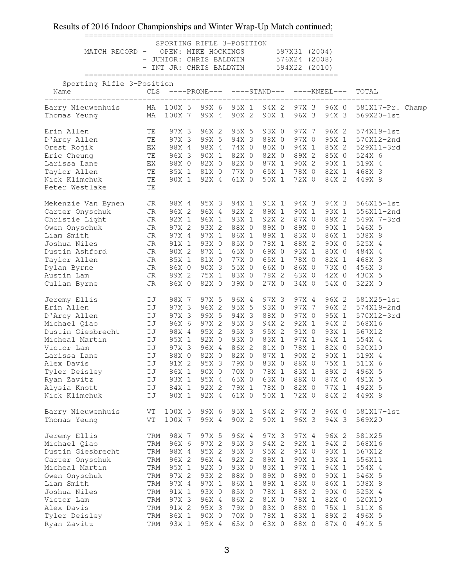| MATCH RECORD - OPEN: MIKE HOCKINGS 597X31 (2004) |     | - INT JR: CHRIS BALDWIN            |             | SPORTING RIFLE 3-POSITION | - JUNIOR: CHRIS BALDWIN 576X24 (2008)<br>594X22 (2010)       |                |                |                                |  |
|--------------------------------------------------|-----|------------------------------------|-------------|---------------------------|--------------------------------------------------------------|----------------|----------------|--------------------------------|--|
| Sporting Rifle 3-Position<br>Name                |     |                                    |             |                           | $CLS \quad ----PRONE---\quad ----STAND---\quad ----KNEEL---$ |                |                | TOTAL                          |  |
| Barry Nieuwenhuis<br>Thomas Yeung                |     | MA 100X 5 99X 6<br>MA 100X 7 99X 4 |             | 90X 2                     | 95X 1 94X 2<br>90X 1                                         | 97X 3<br>96X 3 | 96X 0<br>94X 3 | 581X17-Pr. Champ<br>569X20-1st |  |
| Erin Allen                                       | TE  | 97X 3                              | 96X 2       | 95X 5                     | 93X 0                                                        | 97X 7          | 96X 2          | 574X19-1st                     |  |
| D'Arcy Allen                                     | TE  |                                    | 97X 3 99X 5 | 94X 3                     | 88X 0                                                        | 97X 0          | 95X 1          | 570X12-2nd                     |  |
| Orest Rojik                                      | EX  | 98X 4                              | 98X 4       | 74X 0                     | 80X 0                                                        | 94X 1          | 85X 2          | 529X11-3rd                     |  |
| Eric Cheung                                      | TE  |                                    | 96X 3 90X 1 | 82X 0                     | 82X 0                                                        | 89X 2          | 85X 0          | 524X 6                         |  |
| Larissa Lane                                     | EX  |                                    | 88X 0 82X 0 | 82X 0                     | 87X 1                                                        | 90X 2          | 90X 1          | 519X 4                         |  |
| Taylor Allen                                     |     | TE 85X 1 81X 0                     |             | 77X 0                     | 65X 1                                                        | 78X 0          | 82X 1          | 468X 3                         |  |
| Nick Klimchuk                                    | TE  | 90X 1                              | 92X 4       | 61X 0                     | 50X 1                                                        | 72X 0          | 84X 2          | 449X 8                         |  |
| Peter Westlake                                   | TE  |                                    |             |                           |                                                              |                |                |                                |  |
| Mekenzie Van Bynen                               | JR  |                                    | 98X 4 95X 3 | 94X 1                     | 91X 1                                                        | 94X 3          | 94X 3          | 566X15-1st                     |  |
| Carter Onyschuk                                  | JR  | 96X 2                              | 96X 4       | 92X 2                     | 89X 1                                                        | 90X 1          | 93X 1          | 556X11-2nd                     |  |
| Christie Light                                   | JR  | 92X 1                              | 96X 1       | 93X 1                     | 92X 2                                                        | 87X 0          | 89X 2          | 549X 7-3rd                     |  |
| Owen Onyschuk                                    | JR  | 97X 2                              | 93X 2       | 88X 0                     | 89X 0                                                        | 89X 0          | 90X 1          | 546X 5                         |  |
| Liam Smith                                       | JR  | 97X 4                              | 97X 1       | 86X 1                     | 89X 1                                                        | 83X 0          | 86X 1          | 538X 8                         |  |
| Joshua Niles                                     | JR  | 91X 1                              | 93X 0       | 85X 0                     | 78X 1                                                        | 88X 2          | 90X 0          | 525X 4                         |  |
| Dustin Ashford                                   | JR  | 90X 2                              | 87X 1       | 65X 0                     | 69X 0                                                        | 93X 1          | 80X 0          | 484X 4                         |  |
| Taylor Allen                                     | JR  | 85X 1                              | 81X 0       | 77X 0                     | 65X 1                                                        | 78X 0          | 82X 1          | 468X 3                         |  |
| Dylan Byrne                                      | JR  | 86X 0                              | 90X 3       | 55X 0                     | 66X 0                                                        | 86X 0          | 73X 0          | 456X 3                         |  |
| Austin Lam                                       | JR  | 89X 2                              | 75X 1       | 83X 0                     | 78X 2                                                        | 63X 0          | 42X 0          | 430X 5                         |  |
| Cullan Byrne                                     | JR  | 86X 0                              | 82X 0       | 39X 0                     | 27X 0                                                        | 34X 0          | 54X 0          | 322X 0                         |  |
| Jeremy Ellis                                     | IJ  | 98X 7                              | 97X 5       | 96X 4                     | 97X 3                                                        | 97X 4          | 96X 2          | 581X25-1st                     |  |
| Erin Allen                                       | IJ  | 97X 3                              | 96X 2       | 95X 5                     | 93X 0                                                        | 97X 7          | 96X 2          | 574X19-2nd                     |  |
| D'Arcy Allen                                     | IJ  | 97X 3                              | 99X 5       | 94X 3                     | 88X 0                                                        | 97X 0          | 95X 1          | 570X12-3rd                     |  |
| Michael Qiao                                     | IJ  | 96X 6                              | 97X 2       | 95X 3                     | 94X 2                                                        | 92X 1          | 94X 2          | 568X16                         |  |
| Dustin Giesbrecht                                | IJ  | 98X 4                              | 95X 2       | 95X 3                     | 95X 2                                                        | 91X 0          | 93X 1          | 567X12                         |  |
| Micheal Martin                                   | IJ  | 95X 1                              | 92X 0       | 93X 0                     | 83X 1                                                        | 97X 1          | 94X 1          | 554X 4                         |  |
| Victor Lam                                       | IJ  | 97X 3                              | 96X 4       | 86X 2                     | 81X 0                                                        | 78X 1          | 82X 0          | 520X10                         |  |
| Larissa Lane                                     | IJ  | 88X 0                              | 82X 0       | 82X 0                     | 87X 1                                                        | 90X 2          | 90X 1          | 519X 4                         |  |
| Alex Davis                                       | IJ  | 91X 2                              | 95X 3       | 79X 0                     | 83X 0                                                        | 88X 0          | 75X 1          | 511X 6                         |  |
| Tyler Deisley                                    |     | IJ 86X 1                           |             |                           | 90X 0 70X 0 78X 1 83X 1                                      |                | 89X 2          | 496X 5                         |  |
| Ryan Zavitz                                      | IJ  | 93X 1                              | 95X 4       | 65X 0                     | 63X 0                                                        | 88X 0          | 87X 0          | 491X 5                         |  |
| Alysia Knott                                     | IJ  | 84X 1                              | 92X 2       | 79X 1                     | 78X 0                                                        | 82X 0          | 77X 1          | 492X 5                         |  |
| Nick Klimchuk                                    | IJ  | 90X 1                              | 92X 4       | 61X 0                     | 50X 1                                                        | 72X 0          | 84X 2          | 449X 8                         |  |
| Barry Nieuwenhuis                                | VT  | 100X 5                             | 99X 6       | 95X 1                     | 94X 2                                                        | 97X 3          | 96X 0          | 581X17-1st                     |  |
| Thomas Yeung                                     | VT  | 100X 7                             | 99X 4       | 90X 2                     | 90X 1                                                        | 96X 3          | 94X 3          | 569X20                         |  |
| Jeremy Ellis                                     | TRM | 98X 7                              | 97X 5       | 96X 4                     | 97X 3                                                        | 97X 4          | 96X 2          | 581X25                         |  |
| Michael Qiao                                     | TRM | 96X 6                              | 97X 2       | 95X 3                     | 94X 2                                                        | 92X 1          | 94X 2          | 568X16                         |  |
| Dustin Giesbrecht                                | TRM | 98X 4                              | 95X 2       | 95X 3                     | 95X 2                                                        | 91X 0          | 93X 1          | 567X12                         |  |
| Carter Onyschuk                                  | TRM | 96X 2                              | 96X 4       | 92X 2                     | 89X 1                                                        | 90X 1          | 93X 1          | 556X11                         |  |
| Micheal Martin                                   | TRM | 95X 1                              | 92X 0       | 93X 0                     | 83X 1                                                        | 97X 1          | 94X 1          | 554X 4                         |  |
| Owen Onyschuk                                    | TRM | 97X 2                              | 93X 2       | 88X 0                     | 89X 0                                                        | 89X 0          | 90X 1          | 546X 5                         |  |
| Liam Smith                                       | TRM | 97X 4                              | 97X 1       | 86X 1                     | 89X 1                                                        | 83X 0          | 86X 1          | 538X 8                         |  |
| Joshua Niles                                     | TRM | 91X 1                              | 93X 0       | 85X 0                     | 78X 1                                                        | 88X 2          | 90X 0          | 525X 4                         |  |
| Victor Lam                                       | TRM | 97X 3                              | 96X 4       | 86X 2                     | 81X 0                                                        | 78X 1          | 82X 0          | 520X10                         |  |
| Alex Davis                                       | TRM | 91X 2                              | 95X 3       | 79X 0                     | 83X 0                                                        | 88X 0          | 75X 1          | 511X 6                         |  |
| Tyler Deisley                                    | TRM | 86X 1                              | 90X 0       | 70X 0                     | 78X 1                                                        | 83X 1          | 89X 2          | 496X 5                         |  |
| Ryan Zavitz                                      | TRM | 93X 1                              | 95X 4       | 65X 0                     | 63X 0                                                        | 88X 0          | 87X 0          | 491X 5                         |  |
|                                                  |     |                                    |             |                           |                                                              |                |                |                                |  |

========================================================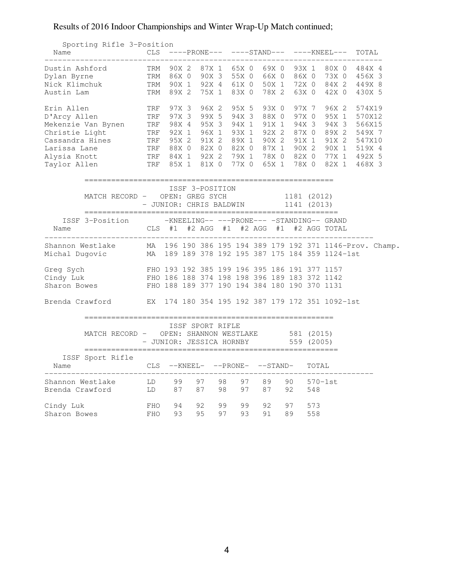## Sporting Rifle 3-Position Name CLS ----PRONE--- ----STAND--- ----KNEEL--- TOTAL ---------------------------------------------------------------------------- Dustin Ashford TRM 90X 2 87X 1 65X 0 69X 0 93X 1 80X 0 484X 4 Dylan Byrne TRM 86X 0 90X 3 55X 0 66X 0 86X 0 73X 0 456X 3 Nick Klimchuk TRM 90X 1 92X 4 61X 0 50X 1 72X 0 84X 2 449X 8 Austin Lam TRM 89X 2 75X 1 83X 0 78X 2 63X 0 42X 0 430X 5 Erin Allen TRF 97X 3 96X 2 95X 5 93X 0 97X 7 96X 2 574X19 D'Arcy Allen TRF 97X 3 99X 5 94X 3 88X 0 97X 0 95X 1 570X12 Mekenzie Van Bynen TRF 98X 4 95X 3 94X 1 91X 1 94X 3 94X 3 566X15 Christie Light TRF 92X 1 96X 1 93X 1 92X 2 87X 0 89X 2 549X 7 Cassandra Hines TRF 95X 2 91X 2 89X 1 90X 2 91X 1 91X 2 547X10 Larissa Lane TRF 88X 0 82X 0 82X 0 87X 1 90X 2 90X 1 519X 4 Alysia Knott TRF 84X 1 92X 2 79X 1 78X 0 82X 0 77X 1 492X 5 Taylor Allen TRF 85X 1 81X 0 77X 0 65X 1 78X 0 82X 1 468X 3 ======================================================== ISSF 3-POSITION<br>MATCH RECORD - OPEN: GREG SYCH MATCH RECORD - OPEN: GREG SYCH 1181 (2012) - JUNIOR: CHRIS BALDWIN 1141 (2013) ========================================================= ISSF 3-Position -KNEELING-- ---PRONE--- -STANDING-- GRAND Name CLS #1 #2 AGG #1 #2 AGG #1 #2 AGG TOTAL -------------------------------------------------------------------------- Shannon Westlake MA 196 190 386 195 194 389 179 192 371 1146-Prov. Champ. Michal Dugovic MA 189 189 378 192 195 387 175 184 359 1124-1st Greg Sych FHO 193 192 385 199 196 395 186 191 377 1157 Cindy Luk FHO 186 188 374 198 198 396 189 183 372 1142 Sharon Bowes FHO 188 189 377 190 194 384 180 190 370 1131 Brenda Crawford EX 174 180 354 195 192 387 179 172 351 1092-1st ======================================================== ISSF SPORT RIFLE MATCH RECORD - OPEN: SHANNON WESTLAKE 581 (2015) - JUNIOR: JESSICA HORNBY 559 (2005) ========================================================= ISSF Sport Rifle Name  $CLS$   $-KNEEL -$ PRONE-  $-$ STAND- TOTAL -------------------------------------------------------------------------- Shannon Westlake LD 99 97 98 97 89 90 570-1st Brenda Crawford LD 87 87 98 97 87 92 548 Cindy Luk FHO 94 92 99 99 92 97 573 Sharon Bowes FHO 93 95 97 93 91 89 558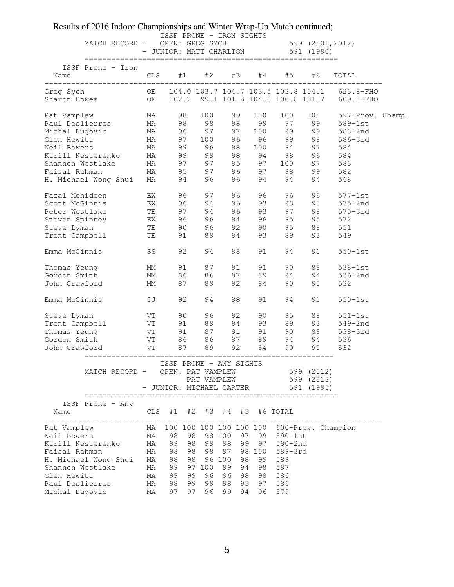| MATCH RECORD - OPEN: GREG SYCH       |              | ISSF PRONE - IRON SIGHTS                                                 |          |                            |          |                | - OPEN: GREG SYCH 599 (2001,2012)<br>- JUNIOR: MATT CHARLTON 591 (1990) |                  |  |
|--------------------------------------|--------------|--------------------------------------------------------------------------|----------|----------------------------|----------|----------------|-------------------------------------------------------------------------|------------------|--|
| ISSF Prone - Iron<br>Name            | CLS          | #1                                                                       | #2       | #3                         | #4       | #5             | #6                                                                      | TOTAL            |  |
|                                      |              |                                                                          |          |                            |          |                |                                                                         |                  |  |
| Pat Vamplew                          | MA           | 98                                                                       |          | 100 99                     | 100      | 100            | 100                                                                     | 597-Prov. Champ. |  |
| Paul Deslierres<br>Michal Dugovic    |              |                                                                          |          |                            |          |                | ma 98 98 98 99 97 99<br>ma 96 97 97 100 99 99                           | $589-1st$        |  |
|                                      |              |                                                                          |          |                            |          |                |                                                                         | 588-2nd          |  |
| Glen Hewitt                          |              |                                                                          |          |                            |          |                | MA 97 100 96 96 99 98                                                   | 586-3rd          |  |
| Neil Bowers                          |              |                                                                          |          |                            |          |                | MA 99 96 98 100 94 97                                                   | 584              |  |
|                                      |              |                                                                          |          |                            |          |                | 96                                                                      | 584              |  |
|                                      |              |                                                                          |          |                            |          |                | 97<br>99                                                                | 583              |  |
|                                      |              |                                                                          | 94 96    |                            |          |                |                                                                         | 582              |  |
| H. Michael Wong Shui MA              |              |                                                                          |          |                            |          | 96 94 94       | 94                                                                      | 568              |  |
| Fazal Mohideen EX                    |              |                                                                          | 96 97    | 96                         | 96       | 96<br>98<br>97 | 96                                                                      | $577-1st$        |  |
|                                      |              |                                                                          |          | 96 94 96 93<br>97 94 96 93 |          |                | 98<br>98                                                                | $575 - 2nd$      |  |
|                                      |              |                                                                          |          |                            |          |                |                                                                         | $575 - 3rd$      |  |
|                                      |              |                                                                          |          |                            |          | 94 96 95       | 95                                                                      | 572              |  |
| Steve Lyman TE 90 96                 |              |                                                                          |          | 92                         |          | 90 95          | 88                                                                      | 551              |  |
| Trent Campbell                       | TE <b>TE</b> |                                                                          | 91 89    | 94                         | 93       | 89             | 93                                                                      | 549              |  |
| Emma McGinnis                        | SS           | 92                                                                       | 94       | 88                         | 91       | 94             | 91                                                                      | $550-1st$        |  |
| Thomas Yeung                         | MM           | 91                                                                       | 87       | 91                         | 91       | 90             | 88                                                                      | $538-1st$        |  |
| Gordon Smith                         | MM           | 86                                                                       | 86       | 87                         | 89       | 94             | 94                                                                      | $536 - 2nd$      |  |
| John Crawford                        | MM           | 87                                                                       | 89       | 92                         | 84       | 90             | 90                                                                      | 532              |  |
| Emma McGinnis                        | IJ           | 92                                                                       | 94       | 88                         | 91       | 94             | 91                                                                      | $550-1st$        |  |
| Steve Lyman                          | VT           |                                                                          | 90 96    | 92                         | 90       | 95             | 88                                                                      | $551-1st$        |  |
| Trent Campbell<br>Thomas Yeung       |              |                                                                          |          |                            |          |                | VT 91 89 94 93 89 93<br>VT 91 87 91 91 90 88                            | 549-2nd          |  |
|                                      |              |                                                                          |          |                            |          |                |                                                                         | $538 - 3rd$      |  |
| VT 86 86 87 89 94 94<br>Gordon Smith |              |                                                                          |          |                            |          |                |                                                                         | 536              |  |
| John Crawford                        | VT           | 87                                                                       | 89       | 92                         | 84       | 90             | 90                                                                      | 532              |  |
| MATCH RECORD -                       |              | ISSF PRONE - ANY SIGHTS<br>OPEN: PAT VAMPLEW<br>- JUNIOR: MICHAEL CARTER |          | PAT VAMPLEW                |          |                | 599 (2012)<br>599 (2013)<br>591 (1995)                                  |                  |  |
| ISSF Prone - Any<br>Name             |              | CLS #1 #2 #3 #4 #5 #6 TOTAL                                              |          |                            |          |                |                                                                         |                  |  |
| Pat Vamplew                          |              |                                                                          |          |                            |          |                | MA 100 100 100 100 100 100 600-Prov. Champion                           |                  |  |
| Neil Bowers                          | MA           | 98<br>98                                                                 | 98 100   | 97                         |          | 99 590-1st     |                                                                         |                  |  |
| Kirill Nesterenko                    | MA           | 99<br>98                                                                 | 99       | 99<br>98                   |          | 97 590-2nd     |                                                                         |                  |  |
| Faisal Rahman                        | MA           | 98<br>98                                                                 | 98       | 97                         |          | 98 100 589-3rd |                                                                         |                  |  |
| H. Michael Wong Shui                 | MA           | 98<br>98                                                                 | 96 100   | 98                         | 99       | 589            |                                                                         |                  |  |
| Shannon Westlake                     | MA           | 99                                                                       | 97 100   | 99<br>94                   | 98       | 587            |                                                                         |                  |  |
| Glen Hewitt                          | MA           | 99<br>99                                                                 | 96       | 98<br>96                   | 98       | 586            |                                                                         |                  |  |
| Paul Deslierres                      | MA           | 98<br>99                                                                 | 99       | 98<br>95                   | 97       | 586            |                                                                         |                  |  |
| Michal Dugovic                       | MA           | 97                                                                       | 97<br>96 | 99                         | 94<br>96 | 579            |                                                                         |                  |  |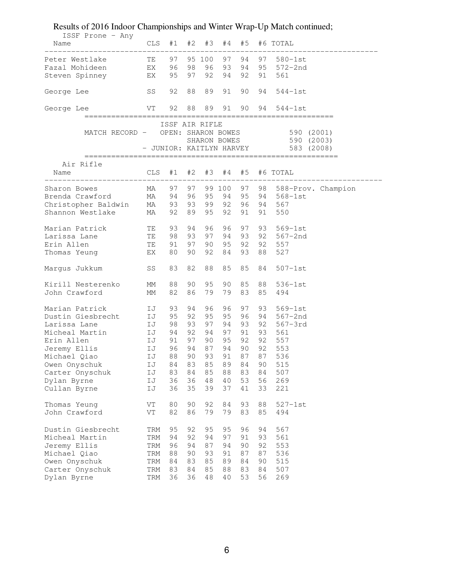| ISSF Prone - Any                  |                     |                   |    |        |              |       |    |                                     |
|-----------------------------------|---------------------|-------------------|----|--------|--------------|-------|----|-------------------------------------|
| Name                              |                     |                   |    |        |              |       |    | CLS #1 #2 #3 #4 #5 #6 TOTAL         |
| Peter Westlake TE                 |                     | 97                |    | 95 100 |              | 97 94 |    | 97 580-1st                          |
|                                   |                     |                   |    |        |              |       |    |                                     |
| Fazal Mohideen                    | EX                  | 96                | 98 | 96     | 93           | 94    | 95 | 572-2nd                             |
| Steven Spinney                    | EX                  | 95                | 97 | 92     | 94           | 92    | 91 | 561                                 |
| George Lee                        | SS                  | 92                | 88 | 89     | 91           | 90    | 94 | $544-1st$                           |
| George Lee                        | VT                  | 92                | 88 | 89     | 91           | 90    | 94 | $544-1st$                           |
|                                   |                     | ISSF AIR RIFLE    |    |        |              |       |    |                                     |
| MATCH RECORD - OPEN: SHARON BOWES |                     |                   |    |        |              |       |    | 590 (2001)                          |
|                                   |                     |                   |    |        | SHARON BOWES |       |    | 590(2003)                           |
|                                   |                     |                   |    |        |              |       |    | - JUNIOR: KAITLYN HARVEY 583 (2008) |
| Air Rifle                         |                     |                   |    |        |              |       |    |                                     |
| Name                              |                     |                   |    |        |              |       |    | CLS #1 #2 #3 #4 #5 #6 TOTAL         |
| Sharon Bowes                      | MA                  | 97                | 97 |        |              |       |    | 99 100 97 98 588-Prov. Champion     |
| Brenda Crawford                   | MA                  | 94                | 96 | 95     | 94 95        |       | 94 | 568-1st                             |
| Christopher Baldwin               | MA                  | 93                | 93 |        | 99 92        | 96    | 94 | 567                                 |
| Shannon Westlake                  | MA                  | 92                | 89 | 95     | 92           | 91    | 91 | 550                                 |
| Marian Patrick<br><b>TE</b>       |                     | 93                | 94 | 96     | 96           | 97    | 93 | 569-1st                             |
| Larissa Lane                      | TE                  | 98                | 93 | 97     | 94           | 93    | 92 |                                     |
|                                   |                     |                   |    |        |              |       |    | 567–2nd                             |
| Erin Allen                        | TE                  | 91                | 97 | 90     | 95           | 92    | 92 | 557                                 |
| Thomas Yeung                      | EX                  | 80                | 90 | 92     | 84           | 93    | 88 | 527                                 |
| Margus Jukkum                     | SS                  | 83                | 82 | 88     | 85           | 85    | 84 | $507 - 1st$                         |
| Kirill Nesterenko                 | МM                  | 88                | 90 | 95     | 90           | 85    | 88 | $536-1st$                           |
| John Crawford                     | МM                  | 82                | 86 | 79     | 79           | 83    | 85 | 494                                 |
| Marian Patrick                    | IJ                  | 93                | 94 | 96     | 96           | 97    | 93 | 569-1st                             |
| Dustin Giesbrecht                 | IJ                  | 95                | 92 | 95     | 95           | 96    | 94 | 567–2nd                             |
| Larissa Lane                      | IJ                  | 98                | 93 | 97     |              | 94 93 | 92 | 567-3rd                             |
| Micheal Martin                    | IJ                  | 94                | 92 |        | 94 97 91     |       | 93 | 561                                 |
| Erin Allen                        | IJ                  | 91                | 97 |        | 90 95 92     |       | 92 | 557                                 |
| Jeremy Ellis                      | IJ                  | 96                | 94 |        | 87 94 90 92  |       |    | 553                                 |
| Michael Qiao                      | IJ                  | 88                | 90 | 93     | 91           | 87    | 87 | 536                                 |
| Owen Onyschuk                     | IJ                  | 84 83 85 89 84 90 |    |        |              |       |    | 515                                 |
| Carter Onyschuk                   | IJ                  | 83                | 84 | 85     | 88           | 83    | 84 | 507                                 |
| Dylan Byrne                       | IJ                  | 36                | 36 | 48     | 40           | 53    | 56 | 269                                 |
| Cullan Byrne                      | IJ                  | 36                | 35 | 39     | 37           | 41    | 33 | 221                                 |
|                                   |                     |                   |    |        |              |       |    |                                     |
| Thomas Yeung                      | VT                  | 80                | 90 | 92     | 84           | 93    | 88 | $527-1st$                           |
| John Crawford                     | $\operatorname{VT}$ | 82                | 86 | 79     | 79           | 83    | 85 | 494                                 |
| Dustin Giesbrecht                 | TRM                 | 95                | 92 | 95     | 95           | 96    | 94 | 567                                 |
| Micheal Martin                    | TRM                 | 94                | 92 | 94     | 97           | 91    | 93 | 561                                 |
| Jeremy Ellis                      | TRM                 | 96                | 94 | 87     | 94           | 90    | 92 | 553                                 |
| Michael Qiao                      | TRM                 | 88                | 90 | 93     | 91           | 87    | 87 | 536                                 |
| Owen Onyschuk                     | TRM                 | 84                | 83 | 85     | 89           | 84    | 90 | 515                                 |
| Carter Onyschuk                   | TRM                 | 83                | 84 | 85     | 88           | 83    | 84 | 507                                 |
| Dylan Byrne                       | TRM                 | 36                | 36 | 48     | 40           | 53    | 56 | 269                                 |
|                                   |                     |                   |    |        |              |       |    |                                     |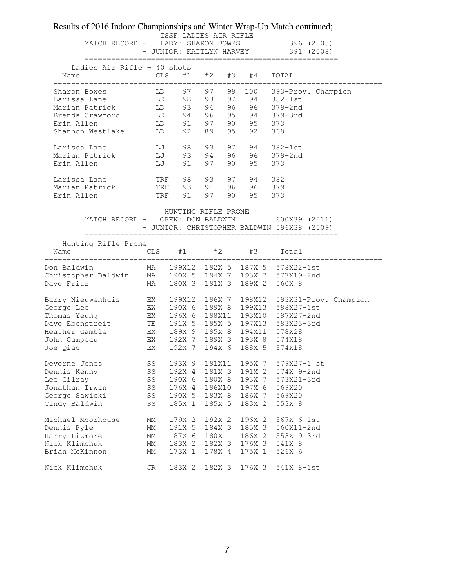| Ladies Air Rifle - 40 shots<br>CLS<br>#1 #2<br>#3<br>#4<br>TOTAL<br>Name<br>97<br>97<br>99<br>100<br>393-Prov. Champion<br>Sharon Bowes<br>LD<br>93<br>${\rm LD}$<br>98<br>97 94<br>96 96<br>$382-1st$<br>Larissa Lane<br>LD<br>93<br>94<br>$379 - 2nd$<br>Marian Patrick<br>LD<br>95 94<br>Brenda Crawford<br>94<br>96<br>$379 - 3rd$<br>${\rm LD}$<br>90 95<br>91<br>97<br>Erin Allen<br>373<br>89<br>95<br>Shannon Westlake<br>92<br>92<br>368<br>LD<br>LJ<br>98<br>93<br>97<br>94<br>Larissa Lane<br>$382 - 1st$<br>96 96<br>$\mathbb{L}\mathbb{J}$<br>93<br>94<br>Marian Patrick<br>$379 - 2nd$<br>95<br>97<br>90<br>Erin Allen<br>LJ<br>91<br>373<br>98<br>93<br>97<br>94<br>382<br>Larissa Lane<br>TRF<br>93<br>96<br>96<br>379<br>Marian Patrick<br>TRF<br>94<br>90<br>Erin Allen<br>91<br>97<br>95<br>TRF<br>373<br>HUNTING RIFLE PRONE<br>MATCH RECORD - OPEN: DON BALDWIN 600X39 (2011)<br>- JUNIOR: CHRISTOPHER BALDWIN 596X38 (2009)<br>Hunting Rifle Prone<br>$#1$ $#2$ $#3$<br><b>CLS</b><br>Total<br>Name<br>199X12 192X 5 187X 5 578X22-1st<br>Don Baldwin<br>MA<br>MA<br>190X 5 194X 7 193X 7 577X19-2nd<br>Christopher Baldwin<br>189X 2<br>Dave Fritz<br>180X 3<br>191X 3<br>560X 8<br>MA<br>196X 7 198X12<br>Barry Nieuwenhuis<br>EX<br>199X12<br>593X31-Prov. Champion<br>EX<br>190X 6 199X 8 199X13<br>588X27-1st<br>George Lee<br>Thomas Yeung<br>${\rm EX}$<br>196X 6<br>198X11 193X10<br>587X27-2nd<br>Dave Ebenstreit TE<br>191X 5<br>195X 5<br>197X13<br>583X23-3rd<br>Heather Gamble EX<br>189X 9<br>195X 8<br>194X11<br>578X28<br>EX<br>192X 7<br>189X 3 193X 8<br>574X18<br>John Campeau<br>EX<br>Joe Qiao<br>192X 7<br>194X 6<br>188X 5<br>574X18<br>193X 9<br>191X11<br>195X 7<br>$579X27 - 1$ st<br>Deverne Jones<br>SS<br>SS<br>192X 4<br>191X 3<br>191X 2<br>574X 9-2nd<br>Dennis Kenny<br>190X 8 193X 7<br>Lee Gilray<br>SS<br>190X 6<br>573X21-3rd<br>Jonathan Irwin<br>196X10 197X 6<br>SS<br>176X 4<br>569X20<br>George Sawicki<br>SS<br>190X 5<br>193X 8<br>186X 7<br>569X20<br>Cindy Baldwin<br>185X 1<br>185X 5<br>183X 2<br>553X 8<br>SS<br>Michael Moorhouse<br>179X 2<br>192X 2<br>196X 2<br>567X 6-1st<br>МM<br>Dennis Pyle<br>191X 5<br>184X 3<br>185X 3<br>560X11-2nd<br>МM<br>Harry Lizmore<br>187X 6<br>180X 1<br>186X 2<br>553X 9-3rd<br>МM<br>183X 2<br>182X 3<br>176X 3<br>541X 8<br>МM<br>173X 1<br>178X 4<br>175X 1<br>526X 6<br>MM<br>Nick Klimchuk<br>183X 2 182X 3 176X 3 541X 8-1st<br>JR | MATCH RECORD -                  |  | ISSF LADIES AIR RIFLE<br>LADY: SHARON BOWES |  | 396 (2003)<br>- JUNIOR: KAITLYN HARVEY 391 (2008) |
|-------------------------------------------------------------------------------------------------------------------------------------------------------------------------------------------------------------------------------------------------------------------------------------------------------------------------------------------------------------------------------------------------------------------------------------------------------------------------------------------------------------------------------------------------------------------------------------------------------------------------------------------------------------------------------------------------------------------------------------------------------------------------------------------------------------------------------------------------------------------------------------------------------------------------------------------------------------------------------------------------------------------------------------------------------------------------------------------------------------------------------------------------------------------------------------------------------------------------------------------------------------------------------------------------------------------------------------------------------------------------------------------------------------------------------------------------------------------------------------------------------------------------------------------------------------------------------------------------------------------------------------------------------------------------------------------------------------------------------------------------------------------------------------------------------------------------------------------------------------------------------------------------------------------------------------------------------------------------------------------------------------------------------------------------------------------------------------------------------------------------------------------------------------------------------------------------------------------------------------------------------------------------------------------------------------------------------------------------------------------------------------------------------------------------------------------------------|---------------------------------|--|---------------------------------------------|--|---------------------------------------------------|
|                                                                                                                                                                                                                                                                                                                                                                                                                                                                                                                                                                                                                                                                                                                                                                                                                                                                                                                                                                                                                                                                                                                                                                                                                                                                                                                                                                                                                                                                                                                                                                                                                                                                                                                                                                                                                                                                                                                                                                                                                                                                                                                                                                                                                                                                                                                                                                                                                                                       |                                 |  |                                             |  |                                                   |
|                                                                                                                                                                                                                                                                                                                                                                                                                                                                                                                                                                                                                                                                                                                                                                                                                                                                                                                                                                                                                                                                                                                                                                                                                                                                                                                                                                                                                                                                                                                                                                                                                                                                                                                                                                                                                                                                                                                                                                                                                                                                                                                                                                                                                                                                                                                                                                                                                                                       |                                 |  |                                             |  |                                                   |
|                                                                                                                                                                                                                                                                                                                                                                                                                                                                                                                                                                                                                                                                                                                                                                                                                                                                                                                                                                                                                                                                                                                                                                                                                                                                                                                                                                                                                                                                                                                                                                                                                                                                                                                                                                                                                                                                                                                                                                                                                                                                                                                                                                                                                                                                                                                                                                                                                                                       |                                 |  |                                             |  |                                                   |
|                                                                                                                                                                                                                                                                                                                                                                                                                                                                                                                                                                                                                                                                                                                                                                                                                                                                                                                                                                                                                                                                                                                                                                                                                                                                                                                                                                                                                                                                                                                                                                                                                                                                                                                                                                                                                                                                                                                                                                                                                                                                                                                                                                                                                                                                                                                                                                                                                                                       |                                 |  |                                             |  |                                                   |
|                                                                                                                                                                                                                                                                                                                                                                                                                                                                                                                                                                                                                                                                                                                                                                                                                                                                                                                                                                                                                                                                                                                                                                                                                                                                                                                                                                                                                                                                                                                                                                                                                                                                                                                                                                                                                                                                                                                                                                                                                                                                                                                                                                                                                                                                                                                                                                                                                                                       |                                 |  |                                             |  |                                                   |
|                                                                                                                                                                                                                                                                                                                                                                                                                                                                                                                                                                                                                                                                                                                                                                                                                                                                                                                                                                                                                                                                                                                                                                                                                                                                                                                                                                                                                                                                                                                                                                                                                                                                                                                                                                                                                                                                                                                                                                                                                                                                                                                                                                                                                                                                                                                                                                                                                                                       |                                 |  |                                             |  |                                                   |
|                                                                                                                                                                                                                                                                                                                                                                                                                                                                                                                                                                                                                                                                                                                                                                                                                                                                                                                                                                                                                                                                                                                                                                                                                                                                                                                                                                                                                                                                                                                                                                                                                                                                                                                                                                                                                                                                                                                                                                                                                                                                                                                                                                                                                                                                                                                                                                                                                                                       |                                 |  |                                             |  |                                                   |
|                                                                                                                                                                                                                                                                                                                                                                                                                                                                                                                                                                                                                                                                                                                                                                                                                                                                                                                                                                                                                                                                                                                                                                                                                                                                                                                                                                                                                                                                                                                                                                                                                                                                                                                                                                                                                                                                                                                                                                                                                                                                                                                                                                                                                                                                                                                                                                                                                                                       |                                 |  |                                             |  |                                                   |
|                                                                                                                                                                                                                                                                                                                                                                                                                                                                                                                                                                                                                                                                                                                                                                                                                                                                                                                                                                                                                                                                                                                                                                                                                                                                                                                                                                                                                                                                                                                                                                                                                                                                                                                                                                                                                                                                                                                                                                                                                                                                                                                                                                                                                                                                                                                                                                                                                                                       |                                 |  |                                             |  |                                                   |
|                                                                                                                                                                                                                                                                                                                                                                                                                                                                                                                                                                                                                                                                                                                                                                                                                                                                                                                                                                                                                                                                                                                                                                                                                                                                                                                                                                                                                                                                                                                                                                                                                                                                                                                                                                                                                                                                                                                                                                                                                                                                                                                                                                                                                                                                                                                                                                                                                                                       |                                 |  |                                             |  |                                                   |
|                                                                                                                                                                                                                                                                                                                                                                                                                                                                                                                                                                                                                                                                                                                                                                                                                                                                                                                                                                                                                                                                                                                                                                                                                                                                                                                                                                                                                                                                                                                                                                                                                                                                                                                                                                                                                                                                                                                                                                                                                                                                                                                                                                                                                                                                                                                                                                                                                                                       |                                 |  |                                             |  |                                                   |
|                                                                                                                                                                                                                                                                                                                                                                                                                                                                                                                                                                                                                                                                                                                                                                                                                                                                                                                                                                                                                                                                                                                                                                                                                                                                                                                                                                                                                                                                                                                                                                                                                                                                                                                                                                                                                                                                                                                                                                                                                                                                                                                                                                                                                                                                                                                                                                                                                                                       |                                 |  |                                             |  |                                                   |
|                                                                                                                                                                                                                                                                                                                                                                                                                                                                                                                                                                                                                                                                                                                                                                                                                                                                                                                                                                                                                                                                                                                                                                                                                                                                                                                                                                                                                                                                                                                                                                                                                                                                                                                                                                                                                                                                                                                                                                                                                                                                                                                                                                                                                                                                                                                                                                                                                                                       |                                 |  |                                             |  |                                                   |
|                                                                                                                                                                                                                                                                                                                                                                                                                                                                                                                                                                                                                                                                                                                                                                                                                                                                                                                                                                                                                                                                                                                                                                                                                                                                                                                                                                                                                                                                                                                                                                                                                                                                                                                                                                                                                                                                                                                                                                                                                                                                                                                                                                                                                                                                                                                                                                                                                                                       |                                 |  |                                             |  |                                                   |
|                                                                                                                                                                                                                                                                                                                                                                                                                                                                                                                                                                                                                                                                                                                                                                                                                                                                                                                                                                                                                                                                                                                                                                                                                                                                                                                                                                                                                                                                                                                                                                                                                                                                                                                                                                                                                                                                                                                                                                                                                                                                                                                                                                                                                                                                                                                                                                                                                                                       |                                 |  |                                             |  |                                                   |
|                                                                                                                                                                                                                                                                                                                                                                                                                                                                                                                                                                                                                                                                                                                                                                                                                                                                                                                                                                                                                                                                                                                                                                                                                                                                                                                                                                                                                                                                                                                                                                                                                                                                                                                                                                                                                                                                                                                                                                                                                                                                                                                                                                                                                                                                                                                                                                                                                                                       |                                 |  |                                             |  |                                                   |
|                                                                                                                                                                                                                                                                                                                                                                                                                                                                                                                                                                                                                                                                                                                                                                                                                                                                                                                                                                                                                                                                                                                                                                                                                                                                                                                                                                                                                                                                                                                                                                                                                                                                                                                                                                                                                                                                                                                                                                                                                                                                                                                                                                                                                                                                                                                                                                                                                                                       |                                 |  |                                             |  |                                                   |
|                                                                                                                                                                                                                                                                                                                                                                                                                                                                                                                                                                                                                                                                                                                                                                                                                                                                                                                                                                                                                                                                                                                                                                                                                                                                                                                                                                                                                                                                                                                                                                                                                                                                                                                                                                                                                                                                                                                                                                                                                                                                                                                                                                                                                                                                                                                                                                                                                                                       |                                 |  |                                             |  |                                                   |
|                                                                                                                                                                                                                                                                                                                                                                                                                                                                                                                                                                                                                                                                                                                                                                                                                                                                                                                                                                                                                                                                                                                                                                                                                                                                                                                                                                                                                                                                                                                                                                                                                                                                                                                                                                                                                                                                                                                                                                                                                                                                                                                                                                                                                                                                                                                                                                                                                                                       |                                 |  |                                             |  |                                                   |
|                                                                                                                                                                                                                                                                                                                                                                                                                                                                                                                                                                                                                                                                                                                                                                                                                                                                                                                                                                                                                                                                                                                                                                                                                                                                                                                                                                                                                                                                                                                                                                                                                                                                                                                                                                                                                                                                                                                                                                                                                                                                                                                                                                                                                                                                                                                                                                                                                                                       |                                 |  |                                             |  |                                                   |
|                                                                                                                                                                                                                                                                                                                                                                                                                                                                                                                                                                                                                                                                                                                                                                                                                                                                                                                                                                                                                                                                                                                                                                                                                                                                                                                                                                                                                                                                                                                                                                                                                                                                                                                                                                                                                                                                                                                                                                                                                                                                                                                                                                                                                                                                                                                                                                                                                                                       |                                 |  |                                             |  |                                                   |
|                                                                                                                                                                                                                                                                                                                                                                                                                                                                                                                                                                                                                                                                                                                                                                                                                                                                                                                                                                                                                                                                                                                                                                                                                                                                                                                                                                                                                                                                                                                                                                                                                                                                                                                                                                                                                                                                                                                                                                                                                                                                                                                                                                                                                                                                                                                                                                                                                                                       |                                 |  |                                             |  |                                                   |
|                                                                                                                                                                                                                                                                                                                                                                                                                                                                                                                                                                                                                                                                                                                                                                                                                                                                                                                                                                                                                                                                                                                                                                                                                                                                                                                                                                                                                                                                                                                                                                                                                                                                                                                                                                                                                                                                                                                                                                                                                                                                                                                                                                                                                                                                                                                                                                                                                                                       |                                 |  |                                             |  |                                                   |
|                                                                                                                                                                                                                                                                                                                                                                                                                                                                                                                                                                                                                                                                                                                                                                                                                                                                                                                                                                                                                                                                                                                                                                                                                                                                                                                                                                                                                                                                                                                                                                                                                                                                                                                                                                                                                                                                                                                                                                                                                                                                                                                                                                                                                                                                                                                                                                                                                                                       |                                 |  |                                             |  |                                                   |
|                                                                                                                                                                                                                                                                                                                                                                                                                                                                                                                                                                                                                                                                                                                                                                                                                                                                                                                                                                                                                                                                                                                                                                                                                                                                                                                                                                                                                                                                                                                                                                                                                                                                                                                                                                                                                                                                                                                                                                                                                                                                                                                                                                                                                                                                                                                                                                                                                                                       |                                 |  |                                             |  |                                                   |
|                                                                                                                                                                                                                                                                                                                                                                                                                                                                                                                                                                                                                                                                                                                                                                                                                                                                                                                                                                                                                                                                                                                                                                                                                                                                                                                                                                                                                                                                                                                                                                                                                                                                                                                                                                                                                                                                                                                                                                                                                                                                                                                                                                                                                                                                                                                                                                                                                                                       |                                 |  |                                             |  |                                                   |
|                                                                                                                                                                                                                                                                                                                                                                                                                                                                                                                                                                                                                                                                                                                                                                                                                                                                                                                                                                                                                                                                                                                                                                                                                                                                                                                                                                                                                                                                                                                                                                                                                                                                                                                                                                                                                                                                                                                                                                                                                                                                                                                                                                                                                                                                                                                                                                                                                                                       |                                 |  |                                             |  |                                                   |
|                                                                                                                                                                                                                                                                                                                                                                                                                                                                                                                                                                                                                                                                                                                                                                                                                                                                                                                                                                                                                                                                                                                                                                                                                                                                                                                                                                                                                                                                                                                                                                                                                                                                                                                                                                                                                                                                                                                                                                                                                                                                                                                                                                                                                                                                                                                                                                                                                                                       |                                 |  |                                             |  |                                                   |
|                                                                                                                                                                                                                                                                                                                                                                                                                                                                                                                                                                                                                                                                                                                                                                                                                                                                                                                                                                                                                                                                                                                                                                                                                                                                                                                                                                                                                                                                                                                                                                                                                                                                                                                                                                                                                                                                                                                                                                                                                                                                                                                                                                                                                                                                                                                                                                                                                                                       |                                 |  |                                             |  |                                                   |
|                                                                                                                                                                                                                                                                                                                                                                                                                                                                                                                                                                                                                                                                                                                                                                                                                                                                                                                                                                                                                                                                                                                                                                                                                                                                                                                                                                                                                                                                                                                                                                                                                                                                                                                                                                                                                                                                                                                                                                                                                                                                                                                                                                                                                                                                                                                                                                                                                                                       |                                 |  |                                             |  |                                                   |
|                                                                                                                                                                                                                                                                                                                                                                                                                                                                                                                                                                                                                                                                                                                                                                                                                                                                                                                                                                                                                                                                                                                                                                                                                                                                                                                                                                                                                                                                                                                                                                                                                                                                                                                                                                                                                                                                                                                                                                                                                                                                                                                                                                                                                                                                                                                                                                                                                                                       |                                 |  |                                             |  |                                                   |
|                                                                                                                                                                                                                                                                                                                                                                                                                                                                                                                                                                                                                                                                                                                                                                                                                                                                                                                                                                                                                                                                                                                                                                                                                                                                                                                                                                                                                                                                                                                                                                                                                                                                                                                                                                                                                                                                                                                                                                                                                                                                                                                                                                                                                                                                                                                                                                                                                                                       |                                 |  |                                             |  |                                                   |
|                                                                                                                                                                                                                                                                                                                                                                                                                                                                                                                                                                                                                                                                                                                                                                                                                                                                                                                                                                                                                                                                                                                                                                                                                                                                                                                                                                                                                                                                                                                                                                                                                                                                                                                                                                                                                                                                                                                                                                                                                                                                                                                                                                                                                                                                                                                                                                                                                                                       |                                 |  |                                             |  |                                                   |
|                                                                                                                                                                                                                                                                                                                                                                                                                                                                                                                                                                                                                                                                                                                                                                                                                                                                                                                                                                                                                                                                                                                                                                                                                                                                                                                                                                                                                                                                                                                                                                                                                                                                                                                                                                                                                                                                                                                                                                                                                                                                                                                                                                                                                                                                                                                                                                                                                                                       |                                 |  |                                             |  |                                                   |
|                                                                                                                                                                                                                                                                                                                                                                                                                                                                                                                                                                                                                                                                                                                                                                                                                                                                                                                                                                                                                                                                                                                                                                                                                                                                                                                                                                                                                                                                                                                                                                                                                                                                                                                                                                                                                                                                                                                                                                                                                                                                                                                                                                                                                                                                                                                                                                                                                                                       |                                 |  |                                             |  |                                                   |
|                                                                                                                                                                                                                                                                                                                                                                                                                                                                                                                                                                                                                                                                                                                                                                                                                                                                                                                                                                                                                                                                                                                                                                                                                                                                                                                                                                                                                                                                                                                                                                                                                                                                                                                                                                                                                                                                                                                                                                                                                                                                                                                                                                                                                                                                                                                                                                                                                                                       |                                 |  |                                             |  |                                                   |
|                                                                                                                                                                                                                                                                                                                                                                                                                                                                                                                                                                                                                                                                                                                                                                                                                                                                                                                                                                                                                                                                                                                                                                                                                                                                                                                                                                                                                                                                                                                                                                                                                                                                                                                                                                                                                                                                                                                                                                                                                                                                                                                                                                                                                                                                                                                                                                                                                                                       | Nick Klimchuk<br>Brian McKinnon |  |                                             |  |                                                   |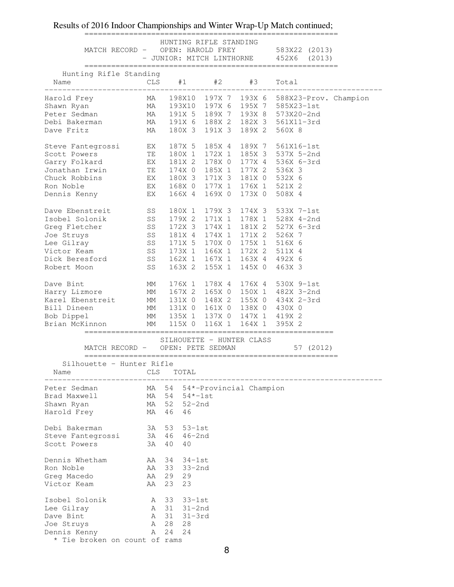|                                                                                                                           |                                                                                                                                                  |                                  |       |            | HUNTING RIFLE STANDING    |  | MATCH RECORD - OPEN: HAROLD FREY 583X22 (2013)<br>- JUNIOR: MITCH LINTHORNE 452X6 (2013)                                                                           |
|---------------------------------------------------------------------------------------------------------------------------|--------------------------------------------------------------------------------------------------------------------------------------------------|----------------------------------|-------|------------|---------------------------|--|--------------------------------------------------------------------------------------------------------------------------------------------------------------------|
| Name                                                                                                                      | Hunting Rifle Standing                                                                                                                           |                                  |       |            |                           |  | CLS #1 #2 #3 Total                                                                                                                                                 |
| _________                                                                                                                 |                                                                                                                                                  | __________________               |       |            |                           |  | .<br>Harold Frey MA 198X10 197X 7 193X 6 588X23-Prov. Champion<br>Shawn Ryan MA 193X10 197X 6 195X 7 585X23-1st<br>Peter Sedman MA 191X 5 189X 7 193X 8 573X20-2nd |
|                                                                                                                           |                                                                                                                                                  |                                  |       |            |                           |  |                                                                                                                                                                    |
| Peter Sedman                                                                                                              |                                                                                                                                                  |                                  |       |            |                           |  |                                                                                                                                                                    |
|                                                                                                                           |                                                                                                                                                  |                                  |       |            |                           |  | Debi Bakerman MA 191X 6 188X 2 182X 3 561X11-3rd                                                                                                                   |
| Dave Fritz                                                                                                                | MA 180X 3 191X 3 189X 2                                                                                                                          |                                  |       |            |                           |  | 560X 8                                                                                                                                                             |
|                                                                                                                           |                                                                                                                                                  |                                  |       |            |                           |  | Steve Fantegrossi EX 187X 5 185X 4 189X 7 561X16-1st<br>Scott Powers TE 180X 1 172X 1 185X 3 537X 5-2nd                                                            |
|                                                                                                                           |                                                                                                                                                  |                                  |       |            |                           |  |                                                                                                                                                                    |
|                                                                                                                           |                                                                                                                                                  |                                  |       |            |                           |  | Garry Folkard EX 181X 2 178X 0 177X 4 536X 6-3rd                                                                                                                   |
|                                                                                                                           | Jonathan Irwin TE                                                                                                                                |                                  |       |            |                           |  | 174X 0 185X 1 177X 2 536X 3                                                                                                                                        |
|                                                                                                                           |                                                                                                                                                  |                                  |       |            |                           |  |                                                                                                                                                                    |
|                                                                                                                           |                                                                                                                                                  |                                  |       |            |                           |  | 168X 0 177X 1 176X 1 521X 2                                                                                                                                        |
|                                                                                                                           | Chuck Robbins<br>Ron Noble<br>EX 180X 3 171X 3 181X 0 532X 6<br>EX 168X 0 177X 1 176X 1 521X 2<br>Dennis Kenny<br>EX 166X 4 169X 0 173X 0 508X 4 |                                  |       |            |                           |  |                                                                                                                                                                    |
|                                                                                                                           | Dave Ebenstreit SS                                                                                                                               |                                  |       |            |                           |  | 180X 1 179X 3 174X 3 533X 7-1st                                                                                                                                    |
|                                                                                                                           | Isobel Solonik SS                                                                                                                                |                                  |       |            |                           |  | 179X 2 171X 1 178X 1 528X 4-2nd                                                                                                                                    |
|                                                                                                                           |                                                                                                                                                  |                                  |       |            |                           |  |                                                                                                                                                                    |
|                                                                                                                           |                                                                                                                                                  |                                  |       |            |                           |  | Greg Fletcher 55 172X 3 174X 1 181X 2 527X 6-3rd<br>Joe Struys 58 181X 4 174X 1 171X 2 526X 7<br>Lee Gilray 58 171X 5 170X 0 175X 1 516X 6                         |
|                                                                                                                           |                                                                                                                                                  |                                  |       |            |                           |  |                                                                                                                                                                    |
|                                                                                                                           | Victor Keam 55 173X 1 166X 1 172X 2 511X 4                                                                                                       |                                  |       |            |                           |  |                                                                                                                                                                    |
|                                                                                                                           | Dick Beresford 5S 162X 1 167X 1 163X 4 492X 6                                                                                                    |                                  |       |            |                           |  |                                                                                                                                                                    |
| Robert Moon                                                                                                               |                                                                                                                                                  | SS <sub>3</sub>                  |       |            |                           |  | 163X 2 155X 1 145X 0 463X 3                                                                                                                                        |
|                                                                                                                           |                                                                                                                                                  |                                  |       |            |                           |  | Dave Bint MM 176X 1 178X 4 176X 4 530X 9-1st<br>Harry Lizmore MM 167X 2 165X 0 150X 1 482X 3-2nd                                                                   |
|                                                                                                                           |                                                                                                                                                  |                                  |       |            |                           |  |                                                                                                                                                                    |
|                                                                                                                           |                                                                                                                                                  |                                  |       |            |                           |  | Karel Ebenstreit MM 131X 0 148X 2 155X 0 434X 2-3rd                                                                                                                |
|                                                                                                                           | Bill Dineen MM 131X 0 161X 0 138X 0 430X 0                                                                                                       |                                  |       |            |                           |  |                                                                                                                                                                    |
| Bob Dippel                                                                                                                |                                                                                                                                                  |                                  |       |            |                           |  | MM 135X 1 137X 0 147X 1 419X 2<br>on MM 115X 0 116X 1 164X 1 395X 2                                                                                                |
|                                                                                                                           | Brian McKinnon                                                                                                                                   |                                  |       |            |                           |  |                                                                                                                                                                    |
|                                                                                                                           |                                                                                                                                                  | MATCH RECORD - OPEN: PETE SEDMAN |       |            | SILHOUETTE - HUNTER CLASS |  | 57 (2012)                                                                                                                                                          |
|                                                                                                                           |                                                                                                                                                  |                                  |       |            |                           |  |                                                                                                                                                                    |
|                                                                                                                           |                                                                                                                                                  |                                  |       |            |                           |  |                                                                                                                                                                    |
| Name                                                                                                                      | Silhouette - Hunter Rifle                                                                                                                        | CLS                              | TOTAL |            |                           |  |                                                                                                                                                                    |
|                                                                                                                           |                                                                                                                                                  | MA                               | 54    |            | 54*-Provincial Champion   |  |                                                                                                                                                                    |
|                                                                                                                           |                                                                                                                                                  | MA                               | - 54  | 54*-1st    |                           |  |                                                                                                                                                                    |
|                                                                                                                           |                                                                                                                                                  | MA                               | 52    | $52 - 2nd$ |                           |  |                                                                                                                                                                    |
|                                                                                                                           |                                                                                                                                                  | MA                               | 46    | 46         |                           |  |                                                                                                                                                                    |
|                                                                                                                           |                                                                                                                                                  | 3A 53                            |       | 53-1st     |                           |  |                                                                                                                                                                    |
|                                                                                                                           | Steve Fantegrossi                                                                                                                                | 3A 46                            |       | 46-2nd     |                           |  |                                                                                                                                                                    |
|                                                                                                                           |                                                                                                                                                  | 3A                               | 40    | 40         |                           |  |                                                                                                                                                                    |
|                                                                                                                           |                                                                                                                                                  | AA                               | 34    | $34-1st$   |                           |  |                                                                                                                                                                    |
| Peter Sedman<br>Brad Maxwell<br>Shawn Ryan<br>Harold Frey<br>Debi Bakerman<br>Scott Powers<br>Dennis Whetham<br>Ron Noble |                                                                                                                                                  | AA                               | 33    | 33-2nd     |                           |  |                                                                                                                                                                    |
|                                                                                                                           |                                                                                                                                                  | AA                               | 29    | 29         |                           |  |                                                                                                                                                                    |
|                                                                                                                           |                                                                                                                                                  | AA                               | 23    | 23         |                           |  |                                                                                                                                                                    |
| Greg Macedo<br>Victor Keam<br>Isobel Solonik                                                                              |                                                                                                                                                  | A 33                             |       | $33-1st$   |                           |  |                                                                                                                                                                    |
|                                                                                                                           |                                                                                                                                                  | A 31                             |       | 31-2nd     |                           |  |                                                                                                                                                                    |
|                                                                                                                           |                                                                                                                                                  | A 31                             |       | $31 - 3rd$ |                           |  |                                                                                                                                                                    |
| Lee Gilray<br>Dave Bint<br>Joe Struys<br>Dennis Kenny                                                                     |                                                                                                                                                  | A 28<br>A 24                     |       | 28<br>24   |                           |  |                                                                                                                                                                    |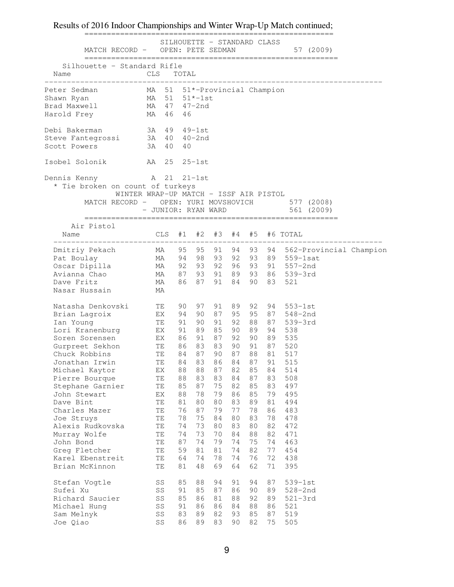### ======================================================== SILHOUETTE - STANDARD CLASS MATCH RECORD - OPEN: PETE SEDMAN 57 (2009) ========================================================= Silhouette - Standard Rifle Name CLS TOTAL ---------------------------------------------------------------------------- Peter Sedman MA 51 51\*-Provincial Champion Shawn Ryan MA 51 51\*-1st Brad Maxwell MA 47 47-2nd Harold Frey MA 46 46 Debi Bakerman 3A 49 49-1st Steve Fantegrossi 3A 40 40-2nd Scott Powers 3A 40 40 Isobel Solonik AA 25 25-1st Dennis Kenny Man 21 21-1st \* Tie broken on count of turkeys WINTER WRAP-UP MATCH - ISSF AIR PISTOL MATCH RECORD - OPEN: YURI MOVSHOVICH 577 (2008) - JUNIOR: RYAN WARD 561 (2009) ========================================================= Air Pistol Name CLS #1 #2 #3 #4 #5 #6 TOTAL -------------------------------------------------------------------------- Dmitriy Pekach MA 95 95 91 94 93 94 562-Provincial Champion Pat Boulay MA 94 98 93 92 93 89 559-1sat Oscar Dipilla MA 92 93 92 96 93 91 557-2nd Avianna Chao MA 87 93 91 89 93 86 539-3rd Dave Fritz MA 86 87 91 84 90 83 521 Nasar Hussain MA Natasha Denkovski TE 90 97 91 89 92 94 553-1st Brian Lagroix EX 94 90 87 95 95 87 548-2nd Ian Young TE 91 90 91 92 88 87 539-3rd Lori Kranenburg EX 91 89 85 90 89 94 538 Soren Sorensen EX 86 91 87 92 90 89 535 Gurpreet Sekhon TE 86 83 83 90 91 87 520 Chuck Robbins TE 84 87 90 87 88 81 517 Jonathan Irwin TE 84 83 86 84 87 91 515 Michael Kaytor EX 88 88 87 82 85 84 514 Pierre Bourque TE 88 83 83 84 87 83 508 Stephane Garnier TE 85 87 75 82 85 83 497 John Stewart EX 88 78 79 86 85 79 495 Dave Bint TE 81 80 80 83 89 81 494 Charles Mazer TE 76 87 79 77 78 86 483 Joe Struys TE 78 75 84 80 83 78 478 Alexis Rudkovska TE 74 73 80 83 80 82 472 Murray Wolfe TE 74 73 70 84 88 82 471 John Bond TE 87 74 79 74 75 74 463 Greg Fletcher TE 59 81 81 74 82 77 454 Karel Ebenstreit TE 64 74 78 74 76 72 438 Brian McKinnon TE 81 48 69 64 62 71 395 Stefan Vogtle SS 85 88 94 91 94 87 539-1st Sufei Xu SS 91 85 87 86 90 89 528-2nd Richard Saucier SS 85 86 81 88 92 89 521–3rd Michael Hung SS 91 86 86 84 88 86 521 Sam Melnyk SS 83 89 82 93 85 87 519 Joe Qiao SS 86 89 83 90 82 75 505

Results of 2016 Indoor Championships and Winter Wrap-Up Match continued;

#### 9